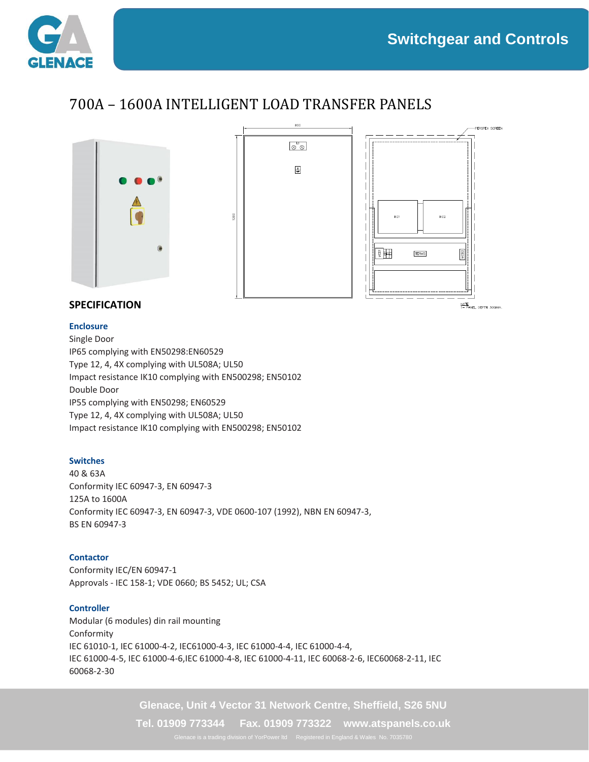<u>NOTE</u><br>1- PAN**EL** D**E**PTH 300mm



## 700A – 1600A INTELLIGENT LOAD TRANSFER PANELS



### **SPECIFICATION**

#### **Enclosure**

Single Door IP65 complying with EN50298:EN60529 Type 12, 4, 4X complying with UL508A; UL50 Impact resistance IK10 complying with EN500298; EN50102 Double Door IP55 complying with EN50298; EN60529 Type 12, 4, 4X complying with UL508A; UL50 Impact resistance IK10 complying with EN500298; EN50102

#### **Switches**

40 & 63A Conformity IEC 60947-3, EN 60947-3 125A to 1600A Conformity IEC 60947-3, EN 60947-3, VDE 0600-107 (1992), NBN EN 60947-3, BS EN 60947-3

#### **Contactor**

Conformity IEC/EN 60947-1 Approvals - IEC 158-1; VDE 0660; BS 5452; UL; CSA

#### **Controller**

Modular (6 modules) din rail mounting Conformity IEC 61010-1, IEC 61000-4-2, IEC61000-4-3, IEC 61000-4-4, IEC 61000-4-4, IEC 61000-4-5, IEC 61000-4-6,IEC 61000-4-8, IEC 61000-4-11, IEC 60068-2-6, IEC60068-2-11, IEC 60068-2-30

**Glenace, Unit 4 Vector 31 Network Centre, Sheffield, S26 5NU**